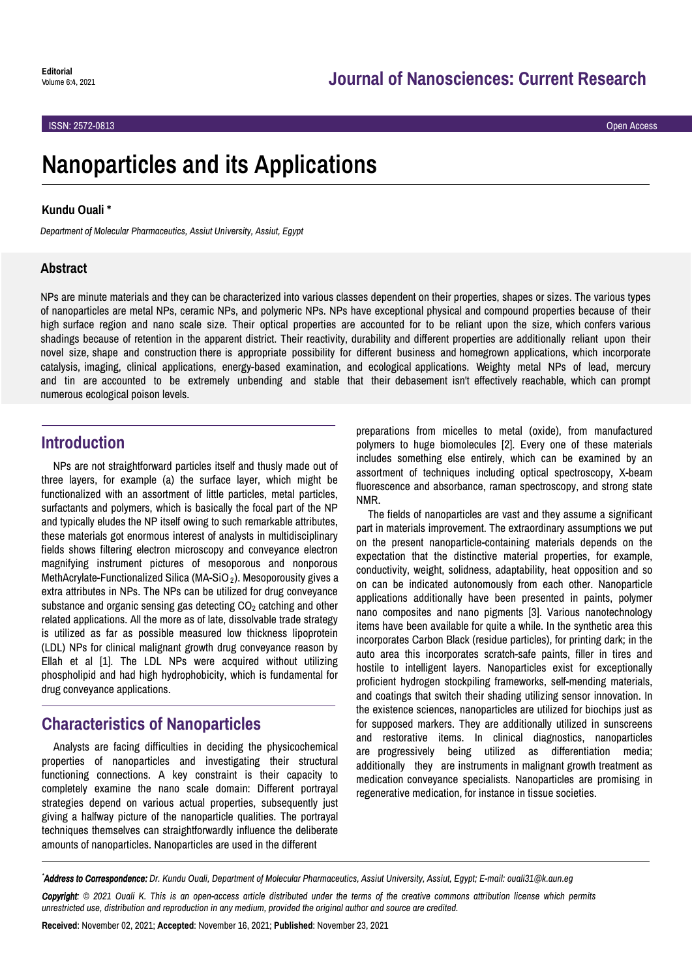ISSN: 2572-0813 Open Access

# **Nanoparticles and its Applications**

#### **Kundu Ouali \***

*Department of Molecular Pharmaceutics, Assiut University, Assiut, Egypt*

### **Abstract**

NPs are minute materials and they can be characterized into various classes dependent on their properties, shapes or sizes. The various types of nanoparticles are metal NPs, ceramic NPs, and polymeric NPs. NPs have exceptional physical and compound properties because of their high surface region and nano scale size. Their optical properties are accounted for to be reliant upon the size, which confers various shadings because of retention in the apparent district. Their reactivity, durability and different properties are additionally reliant upon their novel size, shape and construction there is appropriate possibility for different business and homegrown applications, which incorporate catalysis, imaging, clinical applications, energy-based examination, and ecological applications. Weighty metal NPs of lead, mercury and tin are accounted to be extremely unbending and stable that their debasement isn't effectively reachable, which can prompt numerous ecological poison levels.

## **Introduction**

NPs are not straightforward particles itself and thusly made out of three layers, for example (a) the surface layer, which might be functionalized with an assortment of little particles, metal particles, surfactants and polymers, which is basically the focal part of the NP and typically eludes the NP itself owing to such remarkable attributes, these materials got enormous interest of analysts in multidisciplinary fields shows filtering electron microscopy and conveyance electron magnifying instrument pictures of mesoporous and nonporous extra attributes in NPs. The NPs can be utilized for drug conveyance substance and organic sensing gas detecting  $CO<sub>2</sub>$  catching and other related applications. All the more as of late, dissolvable trade strategy is utilized as far as possible measured low thickness lipoprotein (LDL) NPs for clinical malignant growth drug conveyance reason by Ellah et al [1]. The LDL NPs were acquired without utilizing phospholipid and had high hydrophobicity, which is fundamental for drug conveyance applications. MethAcrylate-Functionalized Silica (MA-SiO<sub>2</sub>). Mesoporousity gives a

# **Characteristics of Nanoparticles**

Analysts are facing difficulties in deciding the physicochemical properties of nanoparticles and investigating their structural functioning connections. A key constraint is their capacity to completely examine the nano scale domain: Different portrayal strategies depend on various actual properties, subsequently just giving a halfway picture of the nanoparticle qualities. The portrayal techniques themselves can straightforwardly influence the deliberate amounts of nanoparticles. Nanoparticles are used in the different

preparations from micelles to metal (oxide), from manufactured polymers to huge biomolecules [2]. Every one of these materials includes something else entirely, which can be examined by an assortment of techniques including optical spectroscopy, X-beam fluorescence and absorbance, raman spectroscopy, and strong state NMR.

The fields of nanoparticles are vast and they assume a significant part in materials improvement. The extraordinary assumptions we put on the present nanoparticle-containing materials depends on the expectation that the distinctive material properties, for example, conductivity, weight, solidness, adaptability, heat opposition and so on can be indicated autonomously from each other. Nanoparticle applications additionally have been presented in paints, polymer nano composites and nano pigments [3]. Various nanotechnology items have been available for quite a while. In the synthetic area this incorporates Carbon Black (residue particles), for printing dark; in the auto area this incorporates scratch-safe paints, filler in tires and hostile to intelligent layers. Nanoparticles exist for exceptionally proficient hydrogen stockpiling frameworks, self-mending materials, and coatings that switch their shading utilizing sensor innovation. In the existence sciences, nanoparticles are utilized for biochips just as for supposed markers. They are additionally utilized in sunscreens and restorative items. In clinical diagnostics, nanoparticles are progressively being utilized as differentiation media; additionally they are instruments in malignant growth treatment as medication conveyance specialists. Nanoparticles are promising in regenerative medication, for instance in tissue societies.

*\*Address to Correspondence: Dr. Kundu Ouali, Department of Molecular Pharmaceutics, Assiut University, Assiut, Egypt; E-mail: ouali31@k.aun.eg*

*Copyright: © 2021 Ouali K. This is an open-access article distributed under the terms of the creative commons attribution license which permits unrestricted use, distribution and reproduction in any medium, provided the original author and source are credited.*

**Received**: November 02, 2021; **Accepted**: November 16, 2021; **Published**: November 23, 2021